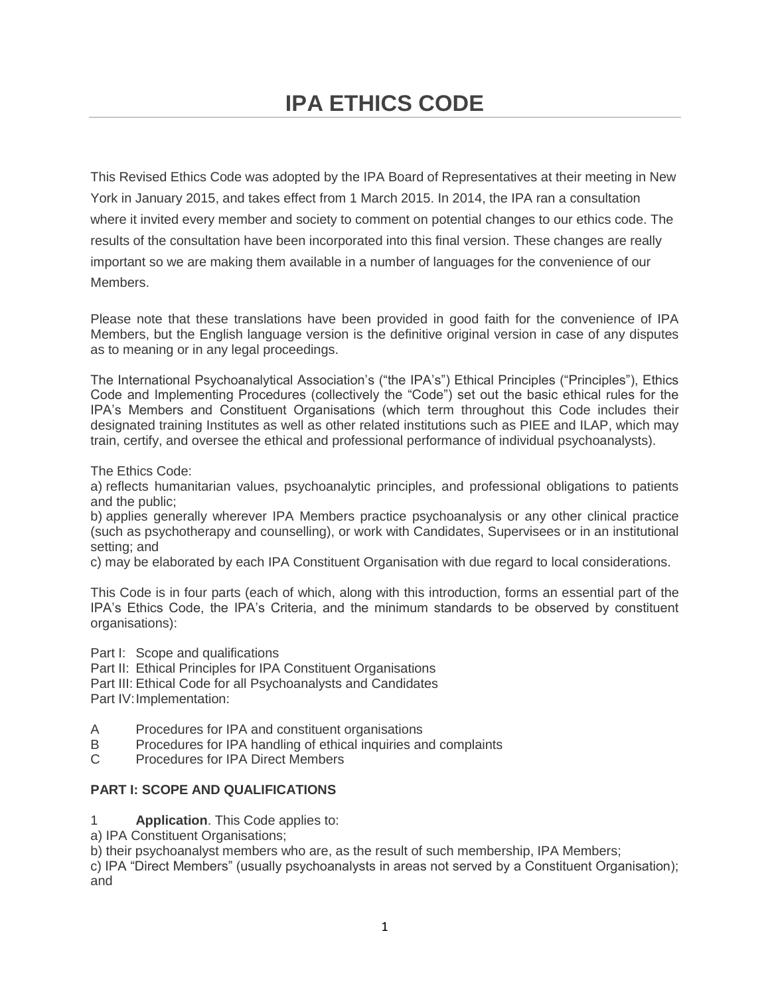This Revised Ethics Code was adopted by the IPA Board of Representatives at their meeting in New York in January 2015, and takes effect from 1 March 2015. In 2014, the IPA ran a consultation where it invited every member and society to comment on potential changes to our ethics code. The results of the consultation have been incorporated into this final version. These changes are really important so we are making them available in a number of languages for the convenience of our Members.

Please note that these translations have been provided in good faith for the convenience of IPA Members, but the English language version is the definitive original version in case of any disputes as to meaning or in any legal proceedings.

The International Psychoanalytical Association's ("the IPA's") Ethical Principles ("Principles"), Ethics Code and Implementing Procedures (collectively the "Code") set out the basic ethical rules for the IPA's Members and Constituent Organisations (which term throughout this Code includes their designated training Institutes as well as other related institutions such as PIEE and ILAP, which may train, certify, and oversee the ethical and professional performance of individual psychoanalysts).

The Ethics Code:

a) reflects humanitarian values, psychoanalytic principles, and professional obligations to patients and the public;

b) applies generally wherever IPA Members practice psychoanalysis or any other clinical practice (such as psychotherapy and counselling), or work with Candidates, Supervisees or in an institutional setting; and

c) may be elaborated by each IPA Constituent Organisation with due regard to local considerations.

This Code is in four parts (each of which, along with this introduction, forms an essential part of the IPA's Ethics Code, the IPA's Criteria, and the minimum standards to be observed by constituent organisations):

Part I: Scope and qualifications

Part II: Ethical Principles for IPA Constituent Organisations Part III: Ethical Code for all Psychoanalysts and Candidates Part IV: Implementation:

- A Procedures for IPA and constituent organisations
- B Procedures for IPA handling of ethical inquiries and complaints
- C Procedures for IPA Direct Members

## **PART I: SCOPE AND QUALIFICATIONS**

- 1 **Application**. This Code applies to:
- a) IPA Constituent Organisations;

b) their psychoanalyst members who are, as the result of such membership, IPA Members;

c) IPA "Direct Members" (usually psychoanalysts in areas not served by a Constituent Organisation); and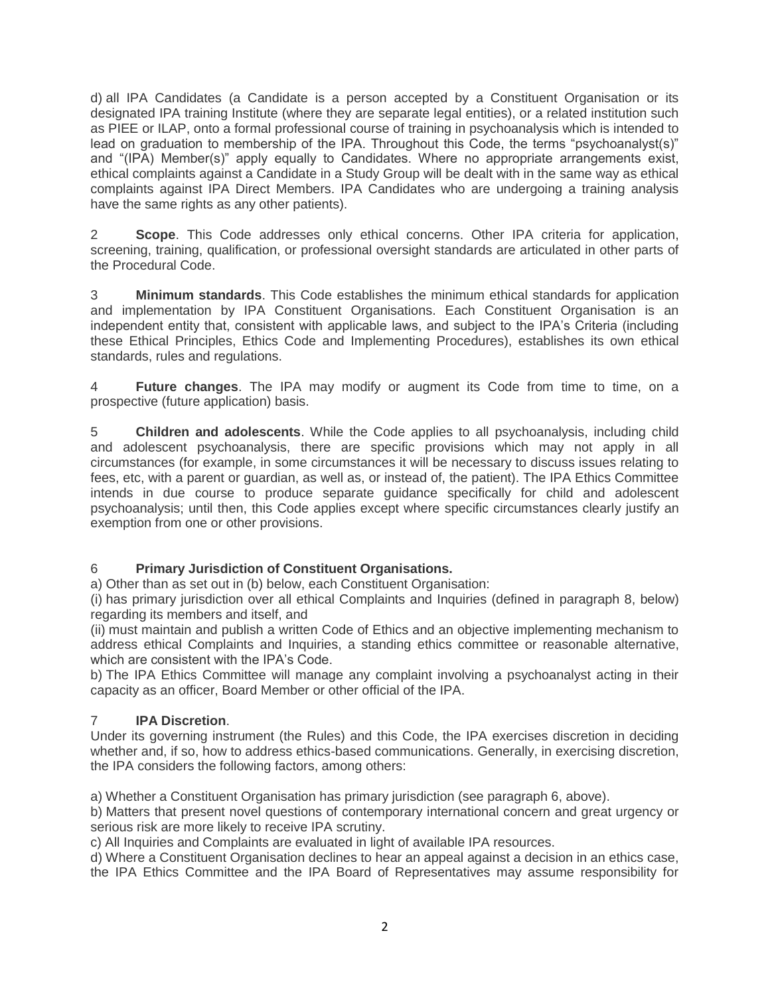d) all IPA Candidates (a Candidate is a person accepted by a Constituent Organisation or its designated IPA training Institute (where they are separate legal entities), or a related institution such as PIEE or ILAP, onto a formal professional course of training in psychoanalysis which is intended to lead on graduation to membership of the IPA. Throughout this Code, the terms "psychoanalyst(s)" and "(IPA) Member(s)" apply equally to Candidates. Where no appropriate arrangements exist, ethical complaints against a Candidate in a Study Group will be dealt with in the same way as ethical complaints against IPA Direct Members. IPA Candidates who are undergoing a training analysis have the same rights as any other patients).

2 **Scope**. This Code addresses only ethical concerns. Other IPA criteria for application, screening, training, qualification, or professional oversight standards are articulated in other parts of the Procedural Code.

3 **Minimum standards**. This Code establishes the minimum ethical standards for application and implementation by IPA Constituent Organisations. Each Constituent Organisation is an independent entity that, consistent with applicable laws, and subject to the IPA's Criteria (including these Ethical Principles, Ethics Code and Implementing Procedures), establishes its own ethical standards, rules and regulations.

4 **Future changes**. The IPA may modify or augment its Code from time to time, on a prospective (future application) basis.

5 **Children and adolescents**. While the Code applies to all psychoanalysis, including child and adolescent psychoanalysis, there are specific provisions which may not apply in all circumstances (for example, in some circumstances it will be necessary to discuss issues relating to fees, etc, with a parent or guardian, as well as, or instead of, the patient). The IPA Ethics Committee intends in due course to produce separate guidance specifically for child and adolescent psychoanalysis; until then, this Code applies except where specific circumstances clearly justify an exemption from one or other provisions.

# 6 **Primary Jurisdiction of Constituent Organisations.**

a) Other than as set out in (b) below, each Constituent Organisation:

(i) has primary jurisdiction over all ethical Complaints and Inquiries (defined in paragraph 8, below) regarding its members and itself, and

(ii) must maintain and publish a written Code of Ethics and an objective implementing mechanism to address ethical Complaints and Inquiries, a standing ethics committee or reasonable alternative, which are consistent with the IPA's Code.

b) The IPA Ethics Committee will manage any complaint involving a psychoanalyst acting in their capacity as an officer, Board Member or other official of the IPA.

## 7 **IPA Discretion**.

Under its governing instrument (the Rules) and this Code, the IPA exercises discretion in deciding whether and, if so, how to address ethics-based communications. Generally, in exercising discretion, the IPA considers the following factors, among others:

a) Whether a Constituent Organisation has primary jurisdiction (see paragraph 6, above).

b) Matters that present novel questions of contemporary international concern and great urgency or serious risk are more likely to receive IPA scrutiny.

c) All Inquiries and Complaints are evaluated in light of available IPA resources.

d) Where a Constituent Organisation declines to hear an appeal against a decision in an ethics case, the IPA Ethics Committee and the IPA Board of Representatives may assume responsibility for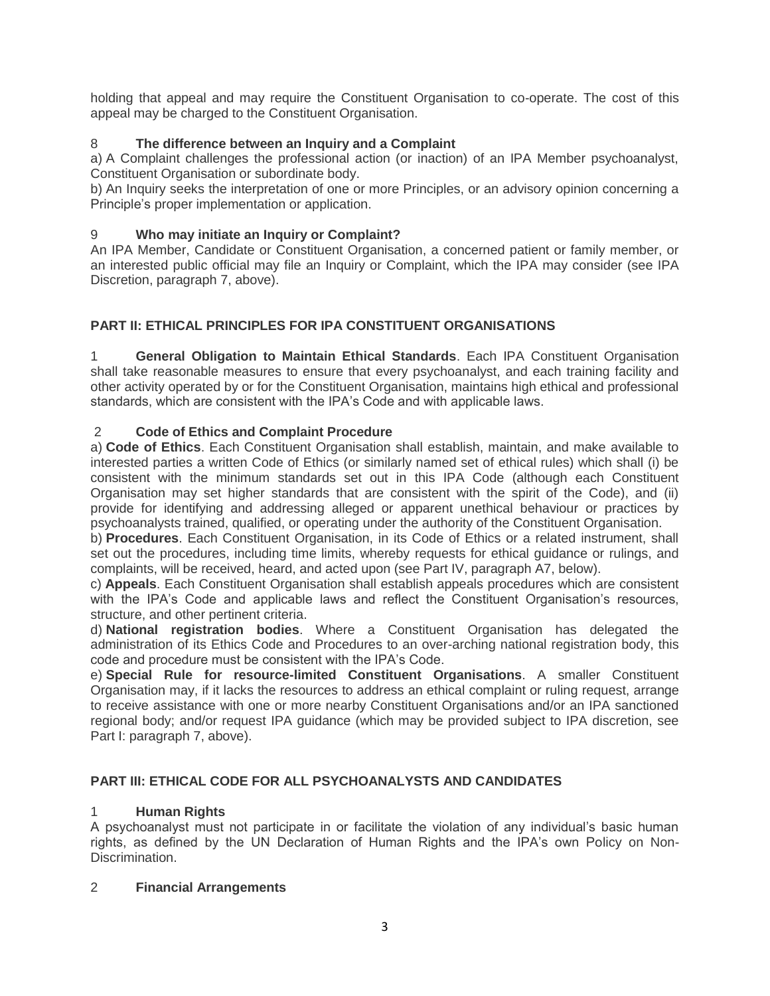holding that appeal and may require the Constituent Organisation to co-operate. The cost of this appeal may be charged to the Constituent Organisation.

## 8 **The difference between an Inquiry and a Complaint**

a) A Complaint challenges the professional action (or inaction) of an IPA Member psychoanalyst, Constituent Organisation or subordinate body.

b) An Inquiry seeks the interpretation of one or more Principles, or an advisory opinion concerning a Principle's proper implementation or application.

## 9 **Who may initiate an Inquiry or Complaint?**

An IPA Member, Candidate or Constituent Organisation, a concerned patient or family member, or an interested public official may file an Inquiry or Complaint, which the IPA may consider (see IPA Discretion, paragraph 7, above).

# **PART II: ETHICAL PRINCIPLES FOR IPA CONSTITUENT ORGANISATIONS**

1 **General Obligation to Maintain Ethical Standards**. Each IPA Constituent Organisation shall take reasonable measures to ensure that every psychoanalyst, and each training facility and other activity operated by or for the Constituent Organisation, maintains high ethical and professional standards, which are consistent with the IPA's Code and with applicable laws.

## 2 **Code of Ethics and Complaint Procedure**

a) **Code of Ethics**. Each Constituent Organisation shall establish, maintain, and make available to interested parties a written Code of Ethics (or similarly named set of ethical rules) which shall (i) be consistent with the minimum standards set out in this IPA Code (although each Constituent Organisation may set higher standards that are consistent with the spirit of the Code), and (ii) provide for identifying and addressing alleged or apparent unethical behaviour or practices by psychoanalysts trained, qualified, or operating under the authority of the Constituent Organisation.

b) **Procedures**. Each Constituent Organisation, in its Code of Ethics or a related instrument, shall set out the procedures, including time limits, whereby requests for ethical guidance or rulings, and complaints, will be received, heard, and acted upon (see Part IV, paragraph A7, below).

c) **Appeals**. Each Constituent Organisation shall establish appeals procedures which are consistent with the IPA's Code and applicable laws and reflect the Constituent Organisation's resources, structure, and other pertinent criteria.

d) **National registration bodies**. Where a Constituent Organisation has delegated the administration of its Ethics Code and Procedures to an over-arching national registration body, this code and procedure must be consistent with the IPA's Code.

e) **Special Rule for resource-limited Constituent Organisations**. A smaller Constituent Organisation may, if it lacks the resources to address an ethical complaint or ruling request, arrange to receive assistance with one or more nearby Constituent Organisations and/or an IPA sanctioned regional body; and/or request IPA guidance (which may be provided subject to IPA discretion, see Part I: paragraph 7, above).

## **PART III: ETHICAL CODE FOR ALL PSYCHOANALYSTS AND CANDIDATES**

## 1 **Human Rights**

A psychoanalyst must not participate in or facilitate the violation of any individual's basic human rights, as defined by the UN Declaration of Human Rights and the IPA's own Policy on Non-Discrimination.

## 2 **Financial Arrangements**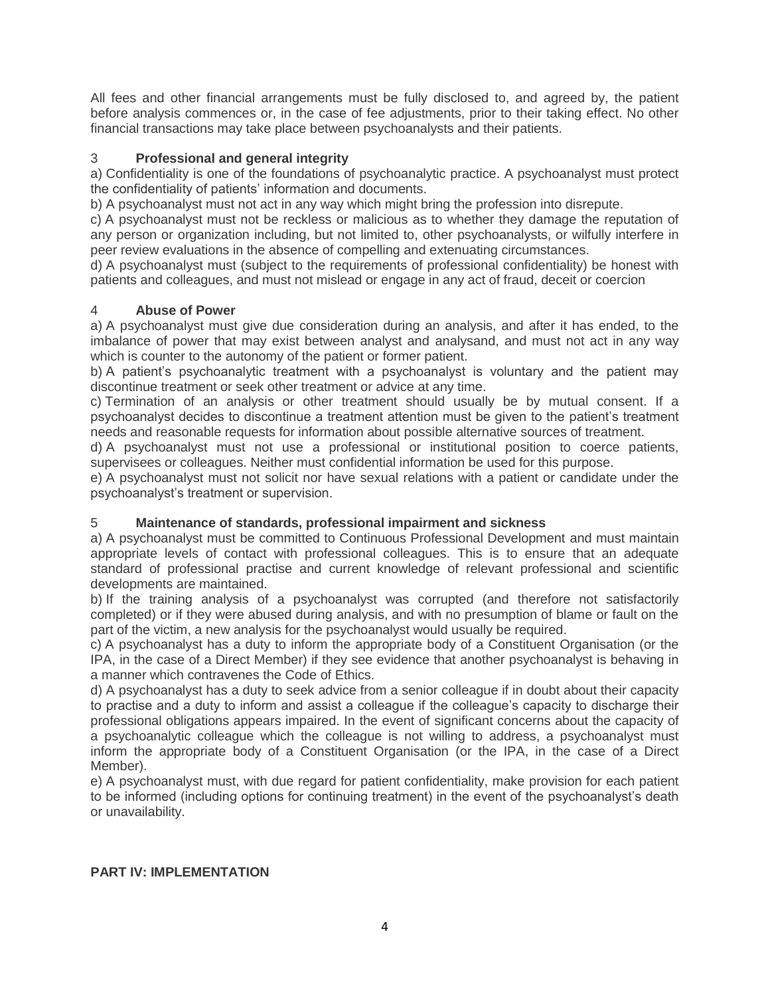All fees and other financial arrangements must be fully disclosed to, and agreed by, the patient before analysis commences or, in the case of fee adjustments, prior to their taking effect. No other financial transactions may take place between psychoanalysts and their patients.

## 3 **Professional and general integrity**

a) Confidentiality is one of the foundations of psychoanalytic practice. A psychoanalyst must protect the confidentiality of patients' information and documents.

b) A psychoanalyst must not act in any way which might bring the profession into disrepute.

c) A psychoanalyst must not be reckless or malicious as to whether they damage the reputation of any person or organization including, but not limited to, other psychoanalysts, or wilfully interfere in peer review evaluations in the absence of compelling and extenuating circumstances.

d) A psychoanalyst must (subject to the requirements of professional confidentiality) be honest with patients and colleagues, and must not mislead or engage in any act of fraud, deceit or coercion

#### 4 **Abuse of Power**

a) A psychoanalyst must give due consideration during an analysis, and after it has ended, to the imbalance of power that may exist between analyst and analysand, and must not act in any way which is counter to the autonomy of the patient or former patient.

b) A patient's psychoanalytic treatment with a psychoanalyst is voluntary and the patient may discontinue treatment or seek other treatment or advice at any time.

c) Termination of an analysis or other treatment should usually be by mutual consent. If a psychoanalyst decides to discontinue a treatment attention must be given to the patient's treatment needs and reasonable requests for information about possible alternative sources of treatment.

d) A psychoanalyst must not use a professional or institutional position to coerce patients, supervisees or colleagues. Neither must confidential information be used for this purpose.

e) A psychoanalyst must not solicit nor have sexual relations with a patient or candidate under the psychoanalyst's treatment or supervision.

## 5 **Maintenance of standards, professional impairment and sickness**

a) A psychoanalyst must be committed to Continuous Professional Development and must maintain appropriate levels of contact with professional colleagues. This is to ensure that an adequate standard of professional practise and current knowledge of relevant professional and scientific developments are maintained.

b) If the training analysis of a psychoanalyst was corrupted (and therefore not satisfactorily completed) or if they were abused during analysis, and with no presumption of blame or fault on the part of the victim, a new analysis for the psychoanalyst would usually be required.

c) A psychoanalyst has a duty to inform the appropriate body of a Constituent Organisation (or the IPA, in the case of a Direct Member) if they see evidence that another psychoanalyst is behaving in a manner which contravenes the Code of Ethics.

d) A psychoanalyst has a duty to seek advice from a senior colleague if in doubt about their capacity to practise and a duty to inform and assist a colleague if the colleague's capacity to discharge their professional obligations appears impaired. In the event of significant concerns about the capacity of a psychoanalytic colleague which the colleague is not willing to address, a psychoanalyst must inform the appropriate body of a Constituent Organisation (or the IPA, in the case of a Direct Member).

e) A psychoanalyst must, with due regard for patient confidentiality, make provision for each patient to be informed (including options for continuing treatment) in the event of the psychoanalyst's death or unavailability.

#### **PART IV: IMPLEMENTATION**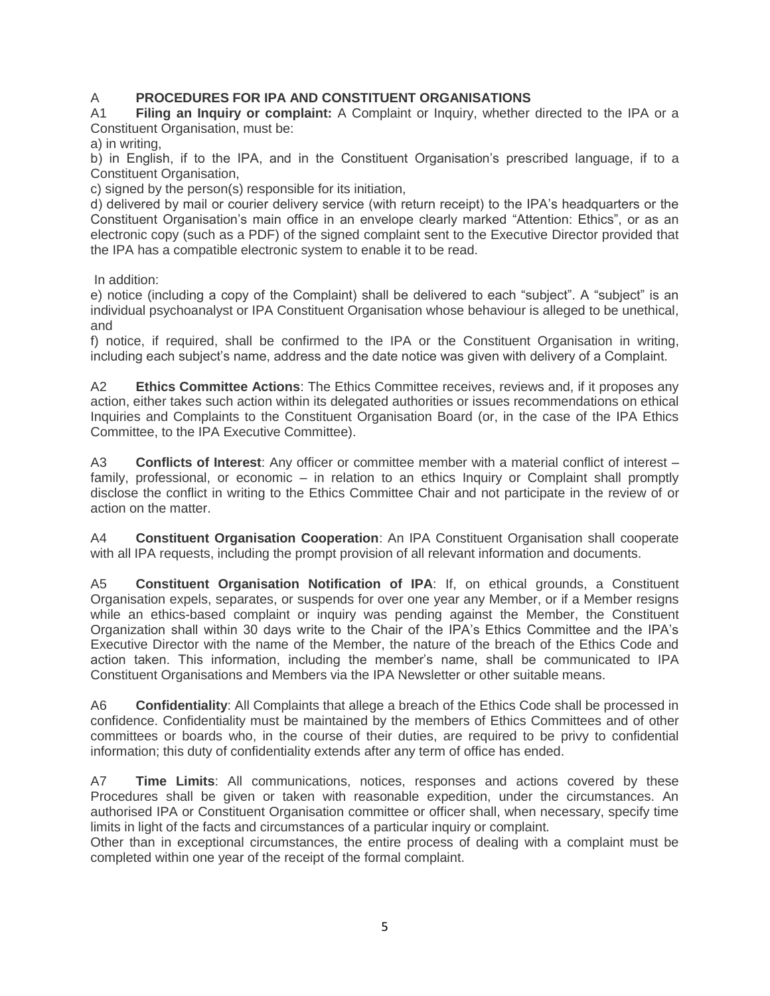## A **PROCEDURES FOR IPA AND CONSTITUENT ORGANISATIONS**

A1 **Filing an Inquiry or complaint:** A Complaint or Inquiry, whether directed to the IPA or a Constituent Organisation, must be:

a) in writing,

b) in English, if to the IPA, and in the Constituent Organisation's prescribed language, if to a Constituent Organisation,

c) signed by the person(s) responsible for its initiation,

d) delivered by mail or courier delivery service (with return receipt) to the IPA's headquarters or the Constituent Organisation's main office in an envelope clearly marked "Attention: Ethics", or as an electronic copy (such as a PDF) of the signed complaint sent to the Executive Director provided that the IPA has a compatible electronic system to enable it to be read.

In addition:

e) notice (including a copy of the Complaint) shall be delivered to each "subject". A "subject" is an individual psychoanalyst or IPA Constituent Organisation whose behaviour is alleged to be unethical, and

f) notice, if required, shall be confirmed to the IPA or the Constituent Organisation in writing, including each subject's name, address and the date notice was given with delivery of a Complaint.

A2 **Ethics Committee Actions**: The Ethics Committee receives, reviews and, if it proposes any action, either takes such action within its delegated authorities or issues recommendations on ethical Inquiries and Complaints to the Constituent Organisation Board (or, in the case of the IPA Ethics Committee, to the IPA Executive Committee).

A3 **Conflicts of Interest**: Any officer or committee member with a material conflict of interest – family, professional, or economic – in relation to an ethics Inquiry or Complaint shall promptly disclose the conflict in writing to the Ethics Committee Chair and not participate in the review of or action on the matter.

A4 **Constituent Organisation Cooperation**: An IPA Constituent Organisation shall cooperate with all IPA requests, including the prompt provision of all relevant information and documents.

A5 **Constituent Organisation Notification of IPA**: If, on ethical grounds, a Constituent Organisation expels, separates, or suspends for over one year any Member, or if a Member resigns while an ethics-based complaint or inquiry was pending against the Member, the Constituent Organization shall within 30 days write to the Chair of the IPA's Ethics Committee and the IPA's Executive Director with the name of the Member, the nature of the breach of the Ethics Code and action taken. This information, including the member's name, shall be communicated to IPA Constituent Organisations and Members via the IPA Newsletter or other suitable means.

A6 **Confidentiality**: All Complaints that allege a breach of the Ethics Code shall be processed in confidence. Confidentiality must be maintained by the members of Ethics Committees and of other committees or boards who, in the course of their duties, are required to be privy to confidential information; this duty of confidentiality extends after any term of office has ended.

A7 **Time Limits**: All communications, notices, responses and actions covered by these Procedures shall be given or taken with reasonable expedition, under the circumstances. An authorised IPA or Constituent Organisation committee or officer shall, when necessary, specify time limits in light of the facts and circumstances of a particular inquiry or complaint.

Other than in exceptional circumstances, the entire process of dealing with a complaint must be completed within one year of the receipt of the formal complaint.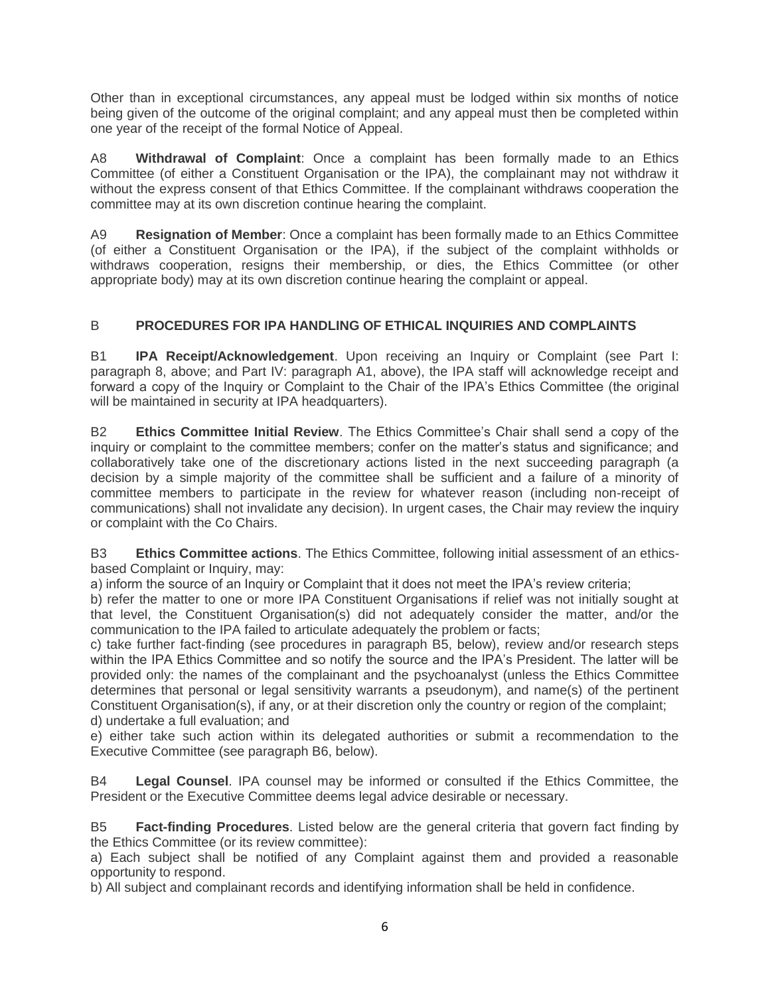Other than in exceptional circumstances, any appeal must be lodged within six months of notice being given of the outcome of the original complaint; and any appeal must then be completed within one year of the receipt of the formal Notice of Appeal.

A8 **Withdrawal of Complaint**: Once a complaint has been formally made to an Ethics Committee (of either a Constituent Organisation or the IPA), the complainant may not withdraw it without the express consent of that Ethics Committee. If the complainant withdraws cooperation the committee may at its own discretion continue hearing the complaint.

A9 **Resignation of Member**: Once a complaint has been formally made to an Ethics Committee (of either a Constituent Organisation or the IPA), if the subject of the complaint withholds or withdraws cooperation, resigns their membership, or dies, the Ethics Committee (or other appropriate body) may at its own discretion continue hearing the complaint or appeal.

# B **PROCEDURES FOR IPA HANDLING OF ETHICAL INQUIRIES AND COMPLAINTS**

B1 **IPA Receipt/Acknowledgement**. Upon receiving an Inquiry or Complaint (see Part I: paragraph 8, above; and Part IV: paragraph A1, above), the IPA staff will acknowledge receipt and forward a copy of the Inquiry or Complaint to the Chair of the IPA's Ethics Committee (the original will be maintained in security at IPA headquarters).

B2 **Ethics Committee Initial Review**. The Ethics Committee's Chair shall send a copy of the inquiry or complaint to the committee members; confer on the matter's status and significance; and collaboratively take one of the discretionary actions listed in the next succeeding paragraph (a decision by a simple majority of the committee shall be sufficient and a failure of a minority of committee members to participate in the review for whatever reason (including non-receipt of communications) shall not invalidate any decision). In urgent cases, the Chair may review the inquiry or complaint with the Co Chairs.

B3 **Ethics Committee actions**. The Ethics Committee, following initial assessment of an ethicsbased Complaint or Inquiry, may:

a) inform the source of an Inquiry or Complaint that it does not meet the IPA's review criteria;

b) refer the matter to one or more IPA Constituent Organisations if relief was not initially sought at that level, the Constituent Organisation(s) did not adequately consider the matter, and/or the communication to the IPA failed to articulate adequately the problem or facts;

c) take further fact-finding (see procedures in paragraph B5, below), review and/or research steps within the IPA Ethics Committee and so notify the source and the IPA's President. The latter will be provided only: the names of the complainant and the psychoanalyst (unless the Ethics Committee determines that personal or legal sensitivity warrants a pseudonym), and name(s) of the pertinent Constituent Organisation(s), if any, or at their discretion only the country or region of the complaint; d) undertake a full evaluation; and

e) either take such action within its delegated authorities or submit a recommendation to the Executive Committee (see paragraph B6, below).

B4 **Legal Counsel**. IPA counsel may be informed or consulted if the Ethics Committee, the President or the Executive Committee deems legal advice desirable or necessary.

B5 **Fact-finding Procedures**. Listed below are the general criteria that govern fact finding by the Ethics Committee (or its review committee):

a) Each subject shall be notified of any Complaint against them and provided a reasonable opportunity to respond.

b) All subject and complainant records and identifying information shall be held in confidence.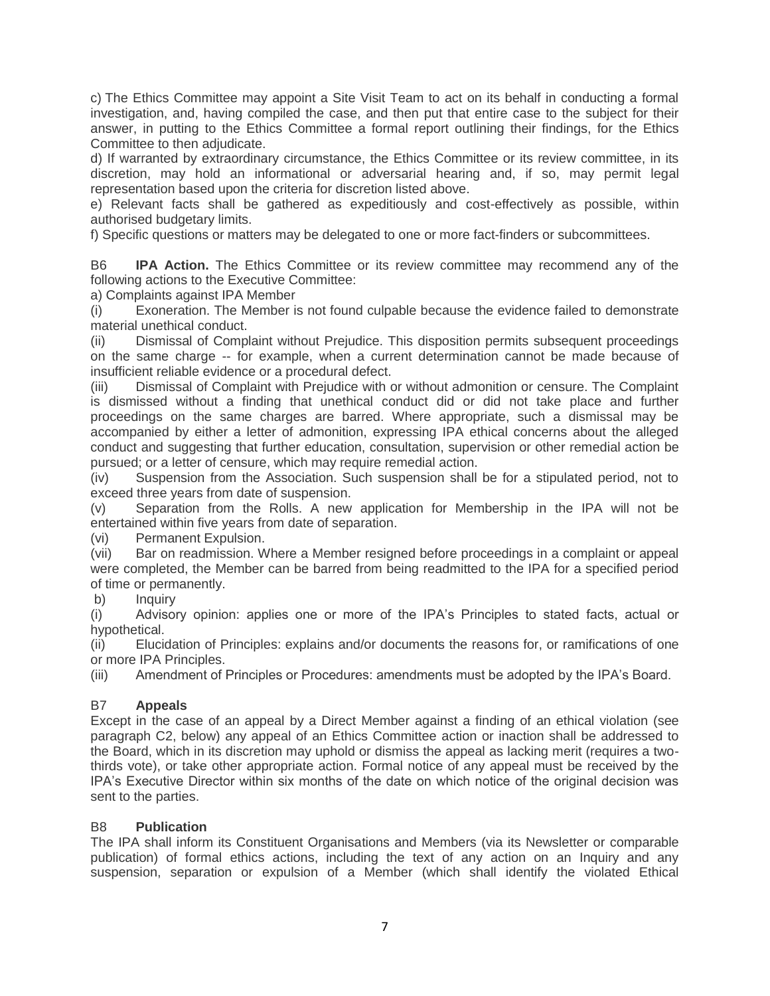c) The Ethics Committee may appoint a Site Visit Team to act on its behalf in conducting a formal investigation, and, having compiled the case, and then put that entire case to the subject for their answer, in putting to the Ethics Committee a formal report outlining their findings, for the Ethics Committee to then adjudicate.

d) If warranted by extraordinary circumstance, the Ethics Committee or its review committee, in its discretion, may hold an informational or adversarial hearing and, if so, may permit legal representation based upon the criteria for discretion listed above.

e) Relevant facts shall be gathered as expeditiously and cost-effectively as possible, within authorised budgetary limits.

f) Specific questions or matters may be delegated to one or more fact-finders or subcommittees.

B6 **IPA Action.** The Ethics Committee or its review committee may recommend any of the following actions to the Executive Committee:

a) Complaints against IPA Member

(i) Exoneration. The Member is not found culpable because the evidence failed to demonstrate material unethical conduct.

(ii) Dismissal of Complaint without Prejudice. This disposition permits subsequent proceedings on the same charge -- for example, when a current determination cannot be made because of insufficient reliable evidence or a procedural defect.

(iii) Dismissal of Complaint with Prejudice with or without admonition or censure. The Complaint is dismissed without a finding that unethical conduct did or did not take place and further proceedings on the same charges are barred. Where appropriate, such a dismissal may be accompanied by either a letter of admonition, expressing IPA ethical concerns about the alleged conduct and suggesting that further education, consultation, supervision or other remedial action be pursued; or a letter of censure, which may require remedial action.

(iv) Suspension from the Association. Such suspension shall be for a stipulated period, not to exceed three years from date of suspension.

(v) Separation from the Rolls. A new application for Membership in the IPA will not be entertained within five years from date of separation.

(vi) Permanent Expulsion.

(vii) Bar on readmission. Where a Member resigned before proceedings in a complaint or appeal were completed, the Member can be barred from being readmitted to the IPA for a specified period of time or permanently.

b) Inquiry

(i) Advisory opinion: applies one or more of the IPA's Principles to stated facts, actual or hypothetical.

(ii) Elucidation of Principles: explains and/or documents the reasons for, or ramifications of one or more IPA Principles.

(iii) Amendment of Principles or Procedures: amendments must be adopted by the IPA's Board.

#### B7 **Appeals**

Except in the case of an appeal by a Direct Member against a finding of an ethical violation (see paragraph C2, below) any appeal of an Ethics Committee action or inaction shall be addressed to the Board, which in its discretion may uphold or dismiss the appeal as lacking merit (requires a twothirds vote), or take other appropriate action. Formal notice of any appeal must be received by the IPA's Executive Director within six months of the date on which notice of the original decision was sent to the parties.

#### B8 **Publication**

The IPA shall inform its Constituent Organisations and Members (via its Newsletter or comparable publication) of formal ethics actions, including the text of any action on an Inquiry and any suspension, separation or expulsion of a Member (which shall identify the violated Ethical